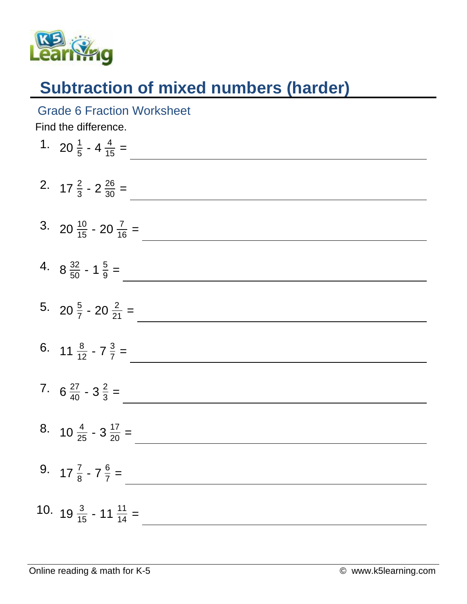

## **Subtraction of mixed numbers (harder)**

Grade 6 Fraction Worksheet

Find the difference.

| 1. 20 $\frac{1}{5}$ - 4 $\frac{4}{15}$ =    |
|---------------------------------------------|
| 2. $17\frac{2}{3} - 2\frac{26}{30} =$       |
| 3. 20 $\frac{10}{15}$ - 20 $\frac{7}{16}$ = |
| 4. $8\frac{32}{50}$ - 1 $\frac{5}{9}$ =     |
| 5. 20 $\frac{5}{7}$ - 20 $\frac{2}{21}$ =   |
| 6. $11 \frac{8}{12} - 7 \frac{3}{7} =$      |
| 7. $6\frac{27}{40} - 3\frac{2}{3} =$        |
| 8. $10\frac{4}{25} - 3\frac{17}{20} =$      |
| 9. $17\frac{7}{8} - 7\frac{6}{7} =$         |
| 10. $19\frac{3}{15}$ - 11 $\frac{11}{14}$ = |